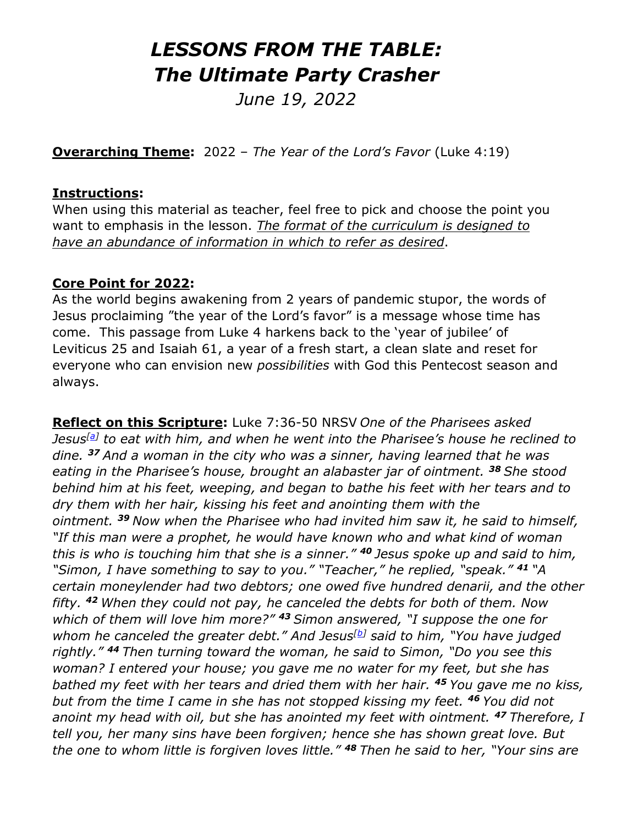# *LESSONS FROM THE TABLE: The Ultimate Party Crasher*

*June 19, 2022* 

**Overarching Theme:** 2022 – *The Year of the Lord's Favor* (Luke 4:19)

#### **Instructions:**

When using this material as teacher, feel free to pick and choose the point you want to emphasis in the lesson. *The format of the curriculum is designed to have an abundance of information in which to refer as desired*.

#### **Core Point for 2022:**

As the world begins awakening from 2 years of pandemic stupor, the words of Jesus proclaiming "the year of the Lord's favor" is a message whose time has come. This passage from Luke 4 harkens back to the 'year of jubilee' of Leviticus 25 and Isaiah 61, a year of a fresh start, a clean slate and reset for everyone who can envision new *possibilities* with God this Pentecost season and always.

**Reflect on this Scripture:** Luke 7:36-50 NRSV *One of the Pharisees asked Jesus[\[a\]](https://www.biblegateway.com/passage/?search=Luke+7%3A36-50+&version=NRSVUE;NIV;CEB#fen-NRSVUE-25224a) to eat with him, and when he went into the Pharisee's house he reclined to dine. <sup>37</sup> And a woman in the city who was a sinner, having learned that he was eating in the Pharisee's house, brought an alabaster jar of ointment. <sup>38</sup> She stood behind him at his feet, weeping, and began to bathe his feet with her tears and to dry them with her hair, kissing his feet and anointing them with the ointment. <sup>39</sup> Now when the Pharisee who had invited him saw it, he said to himself, "If this man were a prophet, he would have known who and what kind of woman this is who is touching him that she is a sinner." <sup>40</sup> Jesus spoke up and said to him, "Simon, I have something to say to you." "Teacher," he replied, "speak." <sup>41</sup> "A certain moneylender had two debtors; one owed five hundred denarii, and the other fifty. <sup>42</sup> When they could not pay, he canceled the debts for both of them. Now which of them will love him more?" <sup>43</sup> Simon answered, "I suppose the one for whom he canceled the greater debt." And Jesus[\[b\]](https://www.biblegateway.com/passage/?search=Luke+7%3A36-50+&version=NRSVUE;NIV;CEB#fen-NRSVUE-25231b) said to him, "You have judged rightly." <sup>44</sup> Then turning toward the woman, he said to Simon, "Do you see this woman? I entered your house; you gave me no water for my feet, but she has bathed my feet with her tears and dried them with her hair. <sup>45</sup> You gave me no kiss, but from the time I came in she has not stopped kissing my feet. <sup>46</sup> You did not anoint my head with oil, but she has anointed my feet with ointment. <sup>47</sup> Therefore, I tell you, her many sins have been forgiven; hence she has shown great love. But the one to whom little is forgiven loves little." <sup>48</sup> Then he said to her, "Your sins are*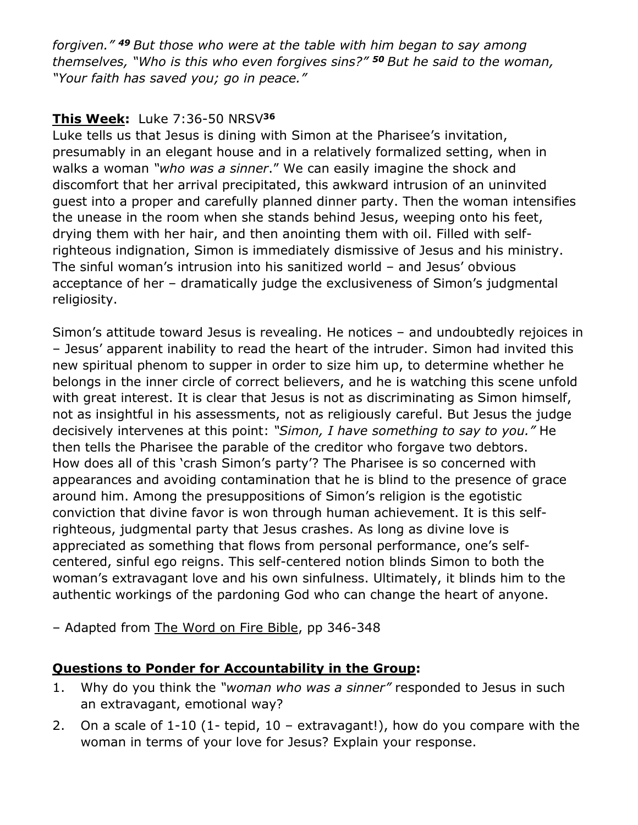*forgiven." <sup>49</sup> But those who were at the table with him began to say among themselves, "Who is this who even forgives sins?" <sup>50</sup> But he said to the woman, "Your faith has saved you; go in peace."*

## **This Week:** Luke 7:36-50 NRSV**<sup>36</sup>**

Luke tells us that Jesus is dining with Simon at the Pharisee's invitation, presumably in an elegant house and in a relatively formalized setting, when in walks a woman *"who was a sinner*." We can easily imagine the shock and discomfort that her arrival precipitated, this awkward intrusion of an uninvited guest into a proper and carefully planned dinner party. Then the woman intensifies the unease in the room when she stands behind Jesus, weeping onto his feet, drying them with her hair, and then anointing them with oil. Filled with selfrighteous indignation, Simon is immediately dismissive of Jesus and his ministry. The sinful woman's intrusion into his sanitized world – and Jesus' obvious acceptance of her – dramatically judge the exclusiveness of Simon's judgmental religiosity.

Simon's attitude toward Jesus is revealing. He notices – and undoubtedly rejoices in – Jesus' apparent inability to read the heart of the intruder. Simon had invited this new spiritual phenom to supper in order to size him up, to determine whether he belongs in the inner circle of correct believers, and he is watching this scene unfold with great interest. It is clear that Jesus is not as discriminating as Simon himself, not as insightful in his assessments, not as religiously careful. But Jesus the judge decisively intervenes at this point: *"Simon, I have something to say to you."* He then tells the Pharisee the parable of the creditor who forgave two debtors. How does all of this 'crash Simon's party'? The Pharisee is so concerned with appearances and avoiding contamination that he is blind to the presence of grace around him. Among the presuppositions of Simon's religion is the egotistic conviction that divine favor is won through human achievement. It is this selfrighteous, judgmental party that Jesus crashes. As long as divine love is appreciated as something that flows from personal performance, one's selfcentered, sinful ego reigns. This self-centered notion blinds Simon to both the woman's extravagant love and his own sinfulness. Ultimately, it blinds him to the authentic workings of the pardoning God who can change the heart of anyone.

– Adapted from The Word on Fire Bible, pp 346-348

## **Questions to Ponder for Accountability in the Group:**

- 1. Why do you think the *"woman who was a sinner"* responded to Jesus in such an extravagant, emotional way?
- 2. On a scale of  $1-10$  (1- tepid,  $10 -$  extravagant!), how do you compare with the woman in terms of your love for Jesus? Explain your response.